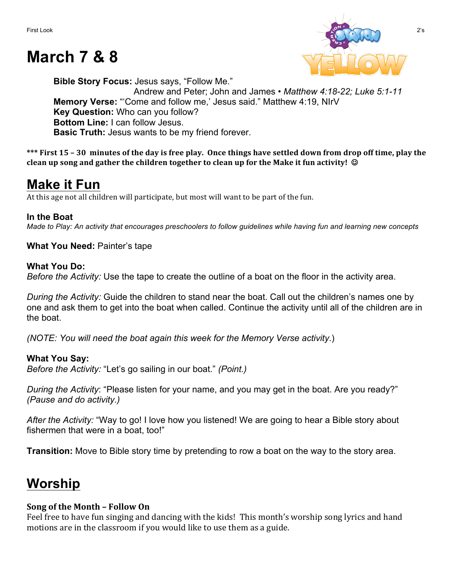# **March 7 & 8**



**Bible Story Focus:** Jesus says, "Follow Me." Andrew and Peter; John and James • *Matthew 4:18-22; Luke 5:1-11* **Memory Verse:** "'Come and follow me,' Jesus said." Matthew 4:19, NIrV **Key Question:** Who can you follow? **Bottom Line:** I can follow Jesus. **Basic Truth:** Jesus wants to be my friend forever.

\*\*\* First 15 – 30 minutes of the day is free play. Once things have settled down from drop off time, play the **clean up song and gather the children together to clean up for the Make it fun activity!** ©

### **Make it Fun**

At this age not all children will participate, but most will want to be part of the fun.

### **In the Boat**

*Made to Play: An activity that encourages preschoolers to follow guidelines while having fun and learning new concepts*

**What You Need:** Painter's tape

#### **What You Do:**

*Before the Activity:* Use the tape to create the outline of a boat on the floor in the activity area.

*During the Activity:* Guide the children to stand near the boat. Call out the children's names one by one and ask them to get into the boat when called. Continue the activity until all of the children are in the boat.

*(NOTE: You will need the boat again this week for the Memory Verse activity*.)

### **What You Say:**

*Before the Activity:* "Let's go sailing in our boat." *(Point.)*

*During the Activity*: "Please listen for your name, and you may get in the boat. Are you ready?" *(Pause and do activity.)* 

*After the Activity:* "Way to go! I love how you listened! We are going to hear a Bible story about fishermen that were in a boat, too!"

**Transition:** Move to Bible story time by pretending to row a boat on the way to the story area.

# **Worship**

### **Song of the Month – Follow On**

Feel free to have fun singing and dancing with the kids! This month's worship song lyrics and hand motions are in the classroom if you would like to use them as a guide.